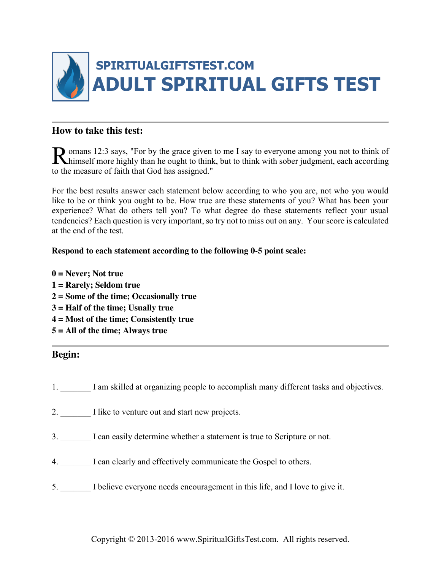

### **How to take this test:**

**O** omans 12:3 says, "For by the grace given to me I say to everyone among you not to think of Romans 12:3 says, "For by the grace given to me I say to everyone among you not to think of himself more highly than he ought to think, but to think with sober judgment, each according to the measure of faith that God has assigned."

For the best results answer each statement below according to who you are, not who you would like to be or think you ought to be. How true are these statements of you? What has been your experience? What do others tell you? To what degree do these statements reflect your usual tendencies? Each question is very important, so try not to miss out on any. Your score is calculated at the end of the test.

### **Respond to each statement according to the following 0-5 point scale:**

**0 = Never; Not true 1 = Rarely; Seldom true 2 = Some of the time; Occasionally true 3 = Half of the time; Usually true 4 = Most of the time; Consistently true 5 = All of the time; Always true**

### **Begin:**

- 1. I am skilled at organizing people to accomplish many different tasks and objectives.
- 2. \_\_\_\_\_\_\_ I like to venture out and start new projects.
- 3. \_\_\_\_\_\_\_ I can easily determine whether a statement is true to Scripture or not.
- 4. \_\_\_\_\_\_\_ I can clearly and effectively communicate the Gospel to others.
- 5. \_\_\_\_\_\_\_ I believe everyone needs encouragement in this life, and I love to give it.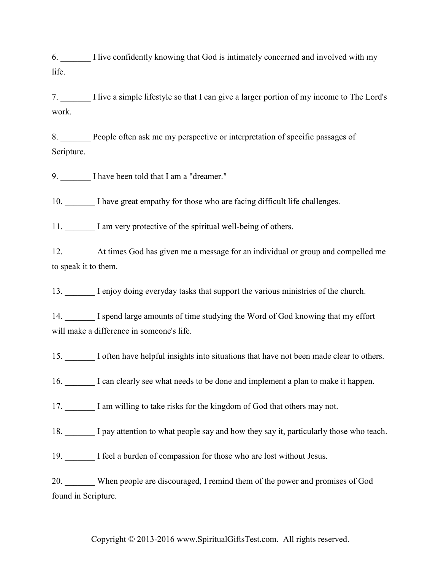6. \_\_\_\_\_\_\_ I live confidently knowing that God is intimately concerned and involved with my life.

7. \_\_\_\_\_\_\_ I live a simple lifestyle so that I can give a larger portion of my income to The Lord's work.

8. People often ask me my perspective or interpretation of specific passages of Scripture.

9. I have been told that I am a "dreamer."

10. I have great empathy for those who are facing difficult life challenges.

11. \_\_\_\_\_\_\_ I am very protective of the spiritual well-being of others.

12. \_\_\_\_\_\_\_ At times God has given me a message for an individual or group and compelled me to speak it to them.

13. \_\_\_\_\_\_\_ I enjoy doing everyday tasks that support the various ministries of the church.

14. I spend large amounts of time studying the Word of God knowing that my effort will make a difference in someone's life.

15. \_\_\_\_\_\_\_ I often have helpful insights into situations that have not been made clear to others.

16. \_\_\_\_\_\_\_ I can clearly see what needs to be done and implement a plan to make it happen.

17. \_\_\_\_\_\_\_ I am willing to take risks for the kingdom of God that others may not.

18. \_\_\_\_\_\_\_ I pay attention to what people say and how they say it, particularly those who teach.

19. I feel a burden of compassion for those who are lost without Jesus.

20. When people are discouraged, I remind them of the power and promises of God found in Scripture.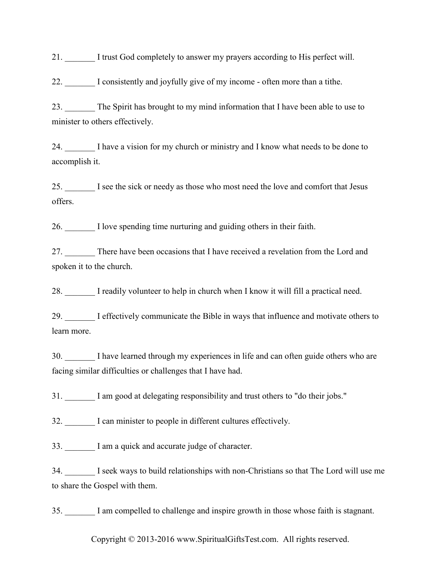21. \_\_\_\_\_\_\_ I trust God completely to answer my prayers according to His perfect will.

22. \_\_\_\_\_\_\_ I consistently and joyfully give of my income - often more than a tithe.

23. The Spirit has brought to my mind information that I have been able to use to minister to others effectively.

24. \_\_\_\_\_\_\_ I have a vision for my church or ministry and I know what needs to be done to accomplish it.

25. I see the sick or needy as those who most need the love and comfort that Jesus offers.

26. \_\_\_\_\_\_\_ I love spending time nurturing and guiding others in their faith.

27. There have been occasions that I have received a revelation from the Lord and spoken it to the church.

28. I readily volunteer to help in church when I know it will fill a practical need.

29. \_\_\_\_\_\_\_ I effectively communicate the Bible in ways that influence and motivate others to learn more.

30. I have learned through my experiences in life and can often guide others who are facing similar difficulties or challenges that I have had.

31. \_\_\_\_\_\_\_ I am good at delegating responsibility and trust others to "do their jobs."

32. I can minister to people in different cultures effectively.

33. I am a quick and accurate judge of character.

34. \_\_\_\_\_\_\_ I seek ways to build relationships with non-Christians so that The Lord will use me to share the Gospel with them.

35. \_\_\_\_\_\_\_ I am compelled to challenge and inspire growth in those whose faith is stagnant.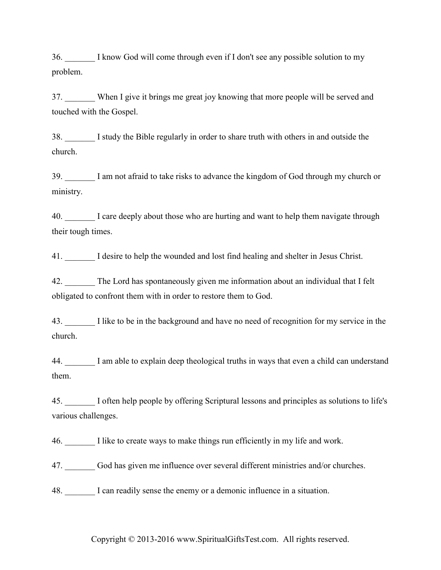36. I know God will come through even if I don't see any possible solution to my problem.

37. When I give it brings me great joy knowing that more people will be served and touched with the Gospel.

38. \_\_\_\_\_\_\_ I study the Bible regularly in order to share truth with others in and outside the church.

39. \_\_\_\_\_\_\_ I am not afraid to take risks to advance the kingdom of God through my church or ministry.

40. I care deeply about those who are hurting and want to help them navigate through their tough times.

41. I desire to help the wounded and lost find healing and shelter in Jesus Christ.

42. \_\_\_\_\_\_\_ The Lord has spontaneously given me information about an individual that I felt obligated to confront them with in order to restore them to God.

43. I like to be in the background and have no need of recognition for my service in the church.

44. \_\_\_\_\_\_\_ I am able to explain deep theological truths in ways that even a child can understand them.

45. \_\_\_\_\_\_\_ I often help people by offering Scriptural lessons and principles as solutions to life's various challenges.

46. \_\_\_\_\_\_\_ I like to create ways to make things run efficiently in my life and work.

47. God has given me influence over several different ministries and/or churches.

48. I can readily sense the enemy or a demonic influence in a situation.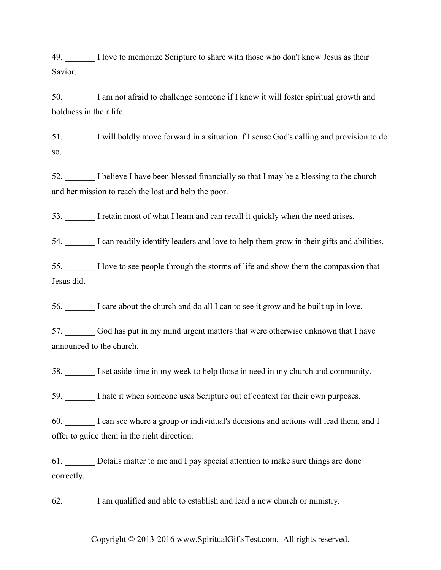49. I love to memorize Scripture to share with those who don't know Jesus as their Savior.

50. \_\_\_\_\_\_\_ I am not afraid to challenge someone if I know it will foster spiritual growth and boldness in their life.

51. \_\_\_\_\_\_\_ I will boldly move forward in a situation if I sense God's calling and provision to do so.

52. I believe I have been blessed financially so that I may be a blessing to the church and her mission to reach the lost and help the poor.

53. \_\_\_\_\_\_\_ I retain most of what I learn and can recall it quickly when the need arises.

54. I can readily identify leaders and love to help them grow in their gifts and abilities.

55. \_\_\_\_\_\_\_ I love to see people through the storms of life and show them the compassion that Jesus did.

56. \_\_\_\_\_\_\_ I care about the church and do all I can to see it grow and be built up in love.

57. \_\_\_\_\_\_\_ God has put in my mind urgent matters that were otherwise unknown that I have announced to the church.

58. \_\_\_\_\_\_\_ I set aside time in my week to help those in need in my church and community.

59. \_\_\_\_\_\_\_ I hate it when someone uses Scripture out of context for their own purposes.

60. \_\_\_\_\_\_\_ I can see where a group or individual's decisions and actions will lead them, and I offer to guide them in the right direction.

61. \_\_\_\_\_\_\_ Details matter to me and I pay special attention to make sure things are done correctly.

62. \_\_\_\_\_\_\_ I am qualified and able to establish and lead a new church or ministry.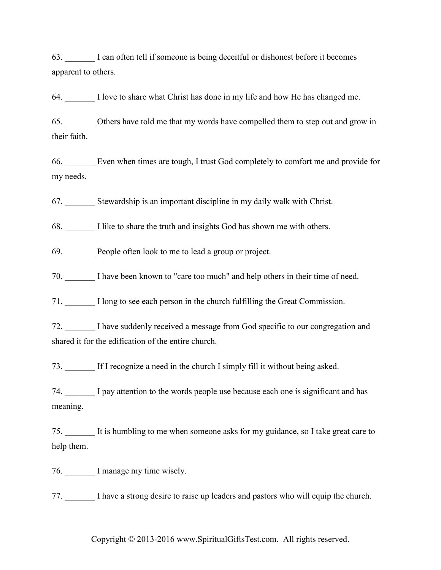63. \_\_\_\_\_\_\_ I can often tell if someone is being deceitful or dishonest before it becomes apparent to others.

64. \_\_\_\_\_\_\_ I love to share what Christ has done in my life and how He has changed me.

65. \_\_\_\_\_\_\_ Others have told me that my words have compelled them to step out and grow in their faith.

66. \_\_\_\_\_\_\_ Even when times are tough, I trust God completely to comfort me and provide for my needs.

67. \_\_\_\_\_\_\_ Stewardship is an important discipline in my daily walk with Christ.

68. \_\_\_\_\_\_\_ I like to share the truth and insights God has shown me with others.

69. People often look to me to lead a group or project.

70. \_\_\_\_\_\_\_ I have been known to "care too much" and help others in their time of need.

71. \_\_\_\_\_\_\_ I long to see each person in the church fulfilling the Great Commission.

72. \_\_\_\_\_\_\_ I have suddenly received a message from God specific to our congregation and shared it for the edification of the entire church.

73. \_\_\_\_\_\_\_ If I recognize a need in the church I simply fill it without being asked.

74. \_\_\_\_\_\_\_ I pay attention to the words people use because each one is significant and has meaning.

75. \_\_\_\_\_\_\_ It is humbling to me when someone asks for my guidance, so I take great care to help them.

76. I manage my time wisely.

77. \_\_\_\_\_\_\_ I have a strong desire to raise up leaders and pastors who will equip the church.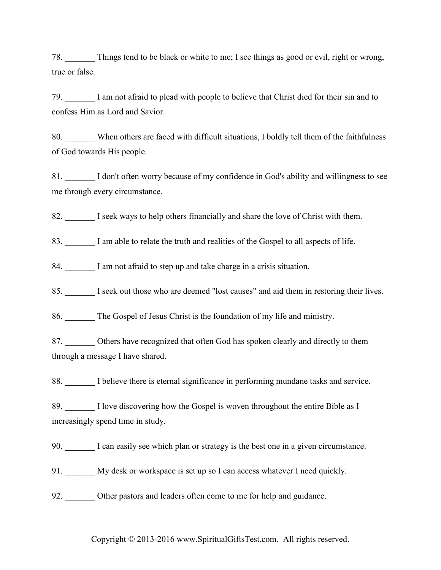78. \_\_\_\_\_\_\_ Things tend to be black or white to me; I see things as good or evil, right or wrong, true or false.

79. \_\_\_\_\_\_\_ I am not afraid to plead with people to believe that Christ died for their sin and to confess Him as Lord and Savior.

80. When others are faced with difficult situations, I boldly tell them of the faithfulness of God towards His people.

81. I don't often worry because of my confidence in God's ability and willingness to see me through every circumstance.

82. I seek ways to help others financially and share the love of Christ with them.

83. I am able to relate the truth and realities of the Gospel to all aspects of life.

84. I am not afraid to step up and take charge in a crisis situation.

85. \_\_\_\_\_\_\_ I seek out those who are deemed "lost causes" and aid them in restoring their lives.

86. \_\_\_\_\_\_\_ The Gospel of Jesus Christ is the foundation of my life and ministry.

87. Others have recognized that often God has spoken clearly and directly to them through a message I have shared.

88. \_\_\_\_\_\_\_ I believe there is eternal significance in performing mundane tasks and service.

89. I love discovering how the Gospel is woven throughout the entire Bible as I increasingly spend time in study.

90. I can easily see which plan or strategy is the best one in a given circumstance.

91. My desk or workspace is set up so I can access whatever I need quickly.

92. Other pastors and leaders often come to me for help and guidance.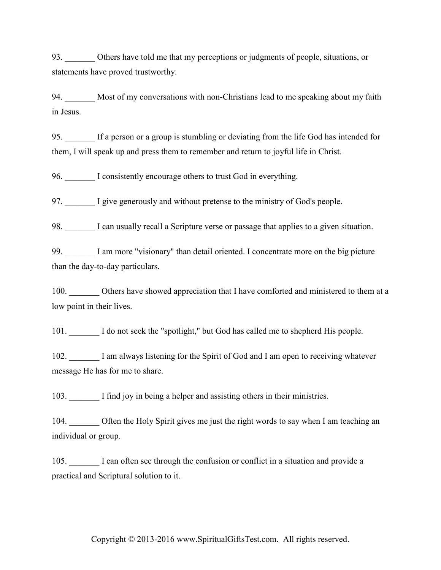93. Others have told me that my perceptions or judgments of people, situations, or statements have proved trustworthy.

94. \_\_\_\_\_\_\_ Most of my conversations with non-Christians lead to me speaking about my faith in Jesus.

95. \_\_\_\_\_\_\_ If a person or a group is stumbling or deviating from the life God has intended for them, I will speak up and press them to remember and return to joyful life in Christ.

96. I consistently encourage others to trust God in everything.

97. I give generously and without pretense to the ministry of God's people.

98. I can usually recall a Scripture verse or passage that applies to a given situation.

99. I am more "visionary" than detail oriented. I concentrate more on the big picture than the day-to-day particulars.

100. Others have showed appreciation that I have comforted and ministered to them at a low point in their lives.

101. I do not seek the "spotlight," but God has called me to shepherd His people.

102. I am always listening for the Spirit of God and I am open to receiving whatever message He has for me to share.

103. I find joy in being a helper and assisting others in their ministries.

104. Often the Holy Spirit gives me just the right words to say when I am teaching an individual or group.

105. \_\_\_\_\_\_\_ I can often see through the confusion or conflict in a situation and provide a practical and Scriptural solution to it.